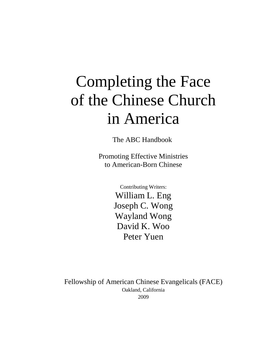# Completing the Face of the Chinese Church in America

The ABC Handbook

Promoting Effective Ministries to American-Born Chinese

> Contributing Writers: William L. Eng Joseph C. Wong Wayland Wong David K. Woo Peter Yuen

Fellowship of American Chinese Evangelicals (FACE) Oakland, California 2009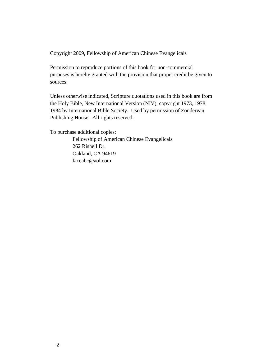Copyright 2009, Fellowship of American Chinese Evangelicals

Permission to reproduce portions of this book for non-commercial purposes is hereby granted with the provision that proper credit be given to sources.

Unless otherwise indicated, Scripture quotations used in this book are from the Holy Bible, New International Version (NIV), copyright 1973, 1978, 1984 by International Bible Society. Used by permission of Zondervan Publishing House. All rights reserved.

To purchase additional copies:

Fellowship of American Chinese Evangelicals 262 Rishell Dr. Oakland, CA 94619 faceabc@aol.com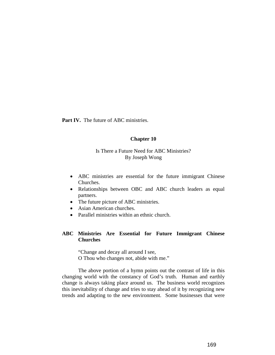**Part IV.** The future of ABC ministries.

#### **Chapter 10**

# Is There a Future Need for ABC Ministries? By Joseph Wong

- ABC ministries are essential for the future immigrant Chinese Churches.
- Relationships between OBC and ABC church leaders as equal partners.
- The future picture of ABC ministries.
- Asian American churches.
- Parallel ministries within an ethnic church.

### **ABC Ministries Are Essential for Future Immigrant Chinese Churches**

"Change and decay all around I see, O Thou who changes not, abide with me."

The above portion of a hymn points out the contrast of life in this changing world with the constancy of God's truth. Human and earthly change is always taking place around us. The business world recognizes this inevitability of change and tries to stay ahead of it by recognizing new trends and adapting to the new environment. Some businesses that were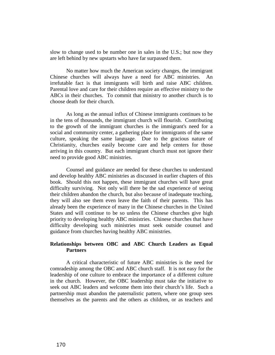slow to change used to be number one in sales in the U.S.; but now they are left behind by new upstarts who have far surpassed them.

No matter how much the American society changes, the immigrant Chinese churches will always have a need for ABC ministries. An irrefutable fact is that immigrants will birth and raise ABC children. Parental love and care for their children require an effective ministry to the ABCs in their churches. To commit that ministry to another church is to choose death for their church.

As long as the annual influx of Chinese immigrants continues to be in the tens of thousands, the immigrant church will flourish. Contributing to the growth of the immigrant churches is the immigrant's need for a social and community center, a gathering place for immigrants of the same culture, speaking the same language. Due to the gracious nature of Christianity, churches easily become care and help centers for those arriving in this country. But each immigrant church must not ignore their need to provide good ABC ministries.

Counsel and guidance are needed for these churches to understand and develop healthy ABC ministries as discussed in earlier chapters of this book. Should this not happen, these immigrant churches will have great difficulty surviving. Not only will there be the sad experience of seeing their children abandon the church, but also because of inadequate teaching, they will also see them even leave the faith of their parents. This has already been the experience of many in the Chinese churches in the United States and will continue to be so unless the Chinese churches give high priority to developing healthy ABC ministries. Chinese churches that have difficulty developing such ministries must seek outside counsel and guidance from churches having healthy ABC ministries.

## **Relationships between OBC and ABC Church Leaders as Equal Partners**

A critical characteristic of future ABC ministries is the need for comradeship among the OBC and ABC church staff. It is not easy for the leadership of one culture to embrace the importance of a different culture in the church. However, the OBC leadership must take the initiative to seek out ABC leaders and welcome them into their church's life. Such a partnership must abandon the paternalistic pattern, where one group sees themselves as the parents and the others as children, or as teachers and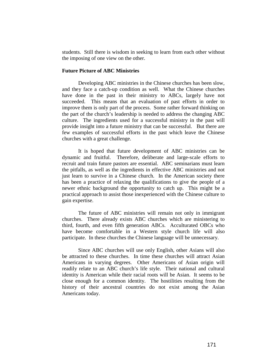students. Still there is wisdom in seeking to learn from each other without the imposing of one view on the other.

#### **Future Picture of ABC Ministries**

Developing ABC ministries in the Chinese churches has been slow, and they face a catch-up condition as well. What the Chinese churches have done in the past in their ministry to ABCs, largely have not succeeded. This means that an evaluation of past efforts in order to improve them is only part of the process. Some rather forward thinking on the part of the church's leadership is needed to address the changing ABC culture. The ingredients used for a successful ministry in the past will provide insight into a future ministry that can be successful. But there are few examples of successful efforts in the past which leave the Chinese churches with a great challenge.

It is hoped that future development of ABC ministries can be dynamic and fruitful. Therefore, deliberate and large-scale efforts to recruit and train future pastors are essential. ABC seminarians must learn the pitfalls, as well as the ingredients in effective ABC ministries and not just learn to survive in a Chinese church. In the American society there has been a practice of relaxing the qualifications to give the people of a newer ethnic background the opportunity to catch up. This might be a practical approach to assist those inexperienced with the Chinese culture to gain expertise.

The future of ABC ministries will remain not only in immigrant churches. There already exists ABC churches which are ministering to third, fourth, and even fifth generation ABCs. Acculturated OBCs who have become comfortable in a Western style church life will also participate. In these churches the Chinese language will be unnecessary.

Since ABC churches will use only English, other Asians will also be attracted to these churches. In time these churches will attract Asian Americans in varying degrees. Other Americans of Asian origin will readily relate to an ABC church's life style. Their national and cultural identity is American while their racial roots will be Asian. It seems to be close enough for a common identity. The hostilities resulting from the history of their ancestral countries do not exist among the Asian Americans today.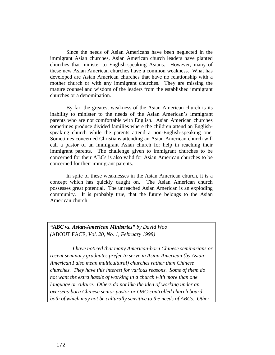Since the needs of Asian Americans have been neglected in the immigrant Asian churches, Asian American church leaders have planted churches that minister to English-speaking Asians. However, many of these new Asian American churches have a common weakness. What has developed are Asian American churches that have no relationship with a mother church or with any immigrant churches. They are missing the mature counsel and wisdom of the leaders from the established immigrant churches or a denomination.

By far, the greatest weakness of the Asian American church is its inability to minister to the needs of the Asian American's immigrant parents who are not comfortable with English. Asian American churches sometimes produce divided families where the children attend an Englishspeaking church while the parents attend a non-English-speaking one. Sometimes concerned Christians attending an Asian American church will call a pastor of an immigrant Asian church for help in reaching their immigrant parents. The challenge given to immigrant churches to be concerned for their ABCs is also valid for Asian American churches to be concerned for their immigrant parents.

In spite of these weaknesses in the Asian American church, it is a concept which has quickly caught on. The Asian American church possesses great potential. The unreached Asian American is an exploding community. It is probably true, that the future belongs to the Asian American church.

*"ABC vs. Asian-American Ministries" by David Woo (*ABOUT FACE*, Vol. 20, No. 1, February 1998)*

*I have noticed that many American-born Chinese seminarians or recent seminary graduates prefer to serve in Asian-American (by Asian-American I also mean multicultural) churches rather than Chinese churches. They have this interest for various reasons. Some of them do not want the extra hassle of working in a church with more than one language or culture. Others do not like the idea of working under an overseas-born Chinese senior pastor or OBC-controlled church board both of which may not be culturally sensitive to the needs of ABCs. Other*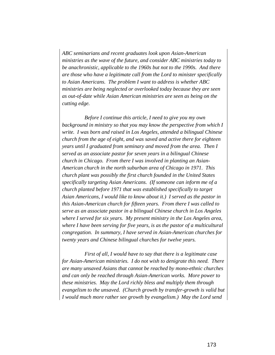*ABC seminarians and recent graduates look upon Asian-American ministries as the wave of the future, and consider ABC ministries today to be anachronistic, applicable to the 1960s but not to the 1990s. And there are those who have a legitimate call from the Lord to minister specifically to Asian Americans. The problem I want to address is whether ABC ministries are being neglected or overlooked today because they are seen as out-of-date while Asian American ministries are seen as being on the cutting edge.*

*Before I continue this article, I need to give you my own background in ministry so that you may know the perspective from which I write. I was born and raised in Los Angeles, attended a bilingual Chinese church from the age of eight, and was saved and active there for eighteen years until I graduated from seminary and moved from the area. Then I served as an associate pastor for seven years in a bilingual Chinese church in Chicago. From there I was involved in planting an Asian-American church in the north suburban area of Chicago in 1971. This church plant was possibly the first church founded in the United States specifically targeting Asian Americans. (If someone can inform me of a church planted before 1971 that was established specifically to target Asian Americans, I would like to know about it.) I served as the pastor in this Asian-American church for fifteen years. From there I was called to serve as an associate pastor in a bilingual Chinese church in Los Angeles where I served for six years. My present ministry in the Los Angeles area, where I have been serving for five years, is as the pastor of a multicultural congregation. In summary, I have served in Asian-American churches for twenty years and Chinese bilingual churches for twelve years.*

*First of all, I would have to say that there is a legitimate case for Asian-American ministries. I do not wish to denigrate this need. There are many unsaved Asians that cannot be reached by mono-ethnic churches and can only be reached through Asian-American works. More power to these ministries. May the Lord richly bless and multiply them through evangelism to the unsaved. (Church growth by transfer-growth is valid but I would much more rather see growth by evangelism.) May the Lord send*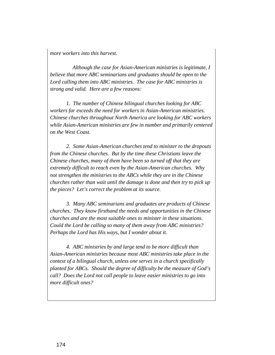*more workers into this harvest.*

*Although the case for Asian-American ministries is legitimate, I believe that more ABC seminarians and graduates should be open to the Lord calling them into ABC ministries. The case for ABC ministries is strong and valid. Here are a few reasons:*

*1. The number of Chinese bilingual churches looking for ABC workers far exceeds the need for workers in Asian-American ministries. Chinese churches throughout North America are looking for ABC workers while Asian-American ministries are few in number and primarily centered on the West Coast.*

*2. Some Asian-American churches tend to minister to the dropouts from the Chinese churches. But by the time these Christians leave the Chinese churches, many of them have been so turned off that they are extremely difficult to reach even by the Asian-American churches. Why not strengthen the ministries to the ABCs while they are in the Chinese churches rather than wait until the damage is done and then try to pick up the pieces? Let's correct the problem at its source.*

*3. Many ABC seminarians and graduates are products of Chinese churches. They know firsthand the needs and opportunities in the Chinese churches and are the most suitable ones to minister in these situations. Could the Lord be calling so many of them away from ABC ministries? Perhaps the Lord has His ways, but I wonder about it.*

*4. ABC ministries by and large tend to be more difficult than Asian-American ministries because most ABC ministries take place in the context of a bilingual church, unless one serves in a church specifically planted for ABCs. Should the degree of difficulty be the measure of God's call? Does the Lord not call people to leave easier ministries to go into more difficult ones?*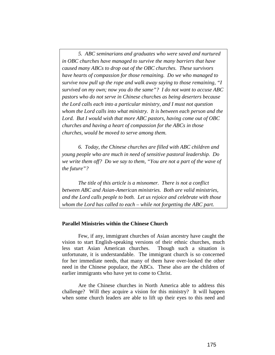*5. ABC seminarians and graduates who were saved and nurtured in OBC churches have managed to survive the many barriers that have caused many ABCs to drop out of the OBC churches. These survivors have hearts of compassion for those remaining. Do we who managed to survive now pull up the rope and walk away saying to those remaining, "I survived on my own; now you do the same"? I do not want to accuse ABC pastors who do not serve in Chinese churches as being deserters because the Lord calls each into a particular ministry, and I must not question whom the Lord calls into what ministry. It is between each person and the Lord. But I would wish that more ABC pastors, having come out of OBC churches and having a heart of compassion for the ABCs in those churches, would be moved to serve among them.*

*6. Today, the Chinese churches are filled with ABC children and young people who are much in need of sensitive pastoral leadership. Do we write them off? Do we say to them, "You are not a part of the wave of the future"?*

*The title of this article is a misnomer. There is not a conflict between ABC and Asian-American ministries. Both are valid ministries, and the Lord calls people to both. Let us rejoice and celebrate with those whom the Lord has called to each – while not forgetting the ABC part.*

## **Parallel Ministries within the Chinese Church**

Few, if any, immigrant churches of Asian ancestry have caught the vision to start English-speaking versions of their ethnic churches, much less start Asian American churches. Though such a situation is unfortunate, it is understandable. The immigrant church is so concerned for her immediate needs, that many of them have over-looked the other need in the Chinese populace, the ABCs. These also are the children of earlier immigrants who have yet to come to Christ.

Are the Chinese churches in North America able to address this challenge? Will they acquire a vision for this ministry? It will happen when some church leaders are able to lift up their eyes to this need and